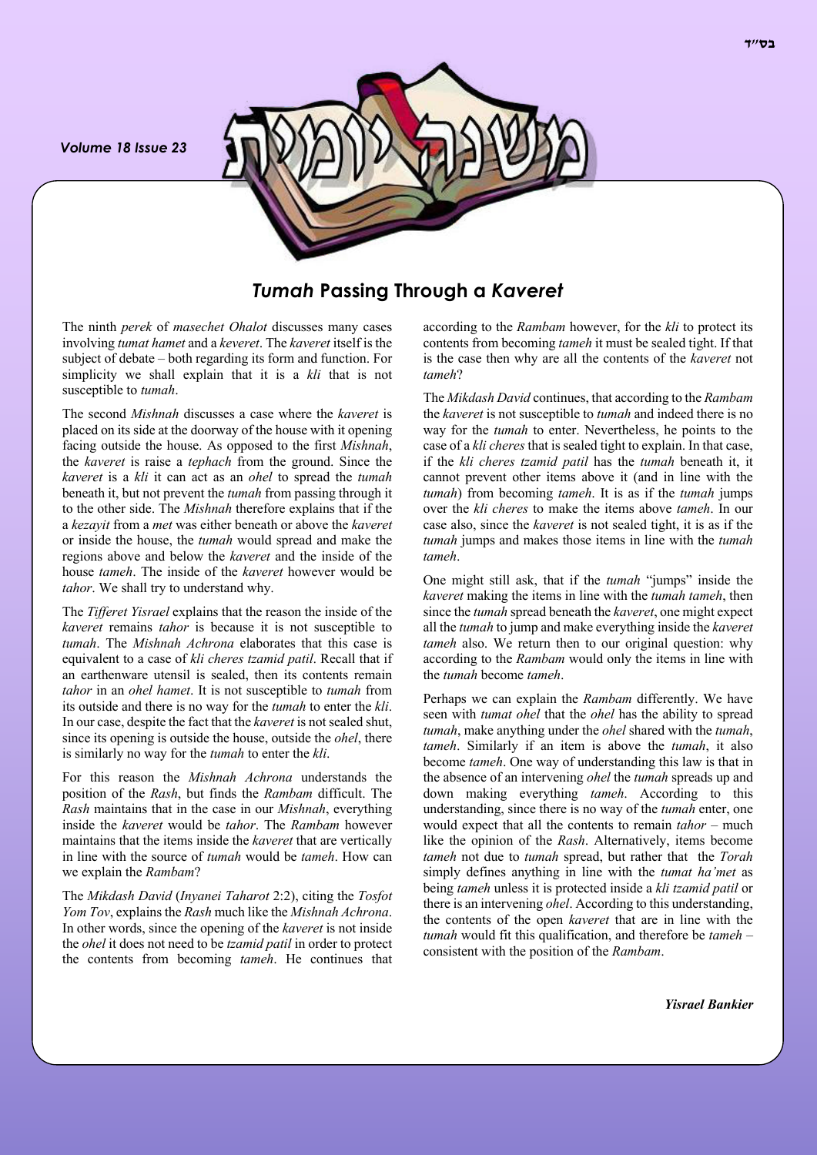*Volume 18 Issue 23*



*Tumah* **Passing Through a** *Kaveret*

The ninth *perek* of *masechet Ohalot* discusses many cases involving *tumat hamet* and a *keveret*. The *kaveret* itself is the subject of debate – both regarding its form and function. For simplicity we shall explain that it is a *kli* that is not susceptible to *tumah*.

The second *Mishnah* discusses a case where the *kaveret* is placed on its side at the doorway of the house with it opening facing outside the house. As opposed to the first *Mishnah*, the *kaveret* is raise a *tephach* from the ground. Since the *kaveret* is a *kli* it can act as an *ohel* to spread the *tumah* beneath it, but not prevent the *tumah* from passing through it to the other side. The *Mishnah* therefore explains that if the a *kezayit* from a *met* was either beneath or above the *kaveret* or inside the house, the *tumah* would spread and make the regions above and below the *kaveret* and the inside of the house *tameh*. The inside of the *kaveret* however would be *tahor*. We shall try to understand why.

The *Tifferet Yisrael* explains that the reason the inside of the *kaveret* remains *tahor* is because it is not susceptible to *tumah*. The *Mishnah Achrona* elaborates that this case is equivalent to a case of *kli cheres tzamid patil*. Recall that if an earthenware utensil is sealed, then its contents remain *tahor* in an *ohel hamet*. It is not susceptible to *tumah* from its outside and there is no way for the *tumah* to enter the *kli*. In our case, despite the fact that the *kaveret* is not sealed shut, since its opening is outside the house, outside the *ohel*, there is similarly no way for the *tumah* to enter the *kli*.

For this reason the *Mishnah Achrona* understands the position of the *Rash*, but finds the *Rambam* difficult. The *Rash* maintains that in the case in our *Mishnah*, everything inside the *kaveret* would be *tahor*. The *Rambam* however maintains that the items inside the *kaveret* that are vertically in line with the source of *tumah* would be *tameh*. How can we explain the *Rambam*?

The *Mikdash David* (*Inyanei Taharot* 2:2), citing the *Tosfot Yom Tov*, explains the *Rash* much like the *Mishnah Achrona*. In other words, since the opening of the *kaveret* is not inside the *ohel* it does not need to be *tzamid patil* in order to protect the contents from becoming *tameh*. He continues that

according to the *Rambam* however, for the *kli* to protect its contents from becoming *tameh* it must be sealed tight. If that is the case then why are all the contents of the *kaveret* not *tameh*?

The *Mikdash David* continues, that according to the *Rambam*  the *kaveret* is not susceptible to *tumah* and indeed there is no way for the *tumah* to enter. Nevertheless, he points to the case of a *kli cheres* that is sealed tight to explain. In that case, if the *kli cheres tzamid patil* has the *tumah* beneath it, it cannot prevent other items above it (and in line with the *tumah*) from becoming *tameh*. It is as if the *tumah* jumps over the *kli cheres* to make the items above *tameh*. In our case also, since the *kaveret* is not sealed tight, it is as if the *tumah* jumps and makes those items in line with the *tumah tameh*.

One might still ask, that if the *tumah* "jumps" inside the *kaveret* making the items in line with the *tumah tameh*, then since the *tumah* spread beneath the *kaveret*, one might expect all the *tumah* to jump and make everything inside the *kaveret tameh* also. We return then to our original question: why according to the *Rambam* would only the items in line with the *tumah* become *tameh*.

Perhaps we can explain the *Rambam* differently. We have seen with *tumat ohel* that the *ohel* has the ability to spread *tumah*, make anything under the *ohel* shared with the *tumah*, *tameh*. Similarly if an item is above the *tumah*, it also become *tameh*. One way of understanding this law is that in the absence of an intervening *ohel* the *tumah* spreads up and down making everything *tameh*. According to this understanding, since there is no way of the *tumah* enter, one would expect that all the contents to remain *tahor* – much like the opinion of the *Rash*. Alternatively, items become *tameh* not due to *tumah* spread, but rather that the *Torah* simply defines anything in line with the *tumat ha'met* as being *tameh* unless it is protected inside a *kli tzamid patil* or there is an intervening *ohel*. According to this understanding, the contents of the open *kaveret* that are in line with the *tumah* would fit this qualification, and therefore be *tameh* – consistent with the position of the *Rambam*.

*Yisrael Bankier*